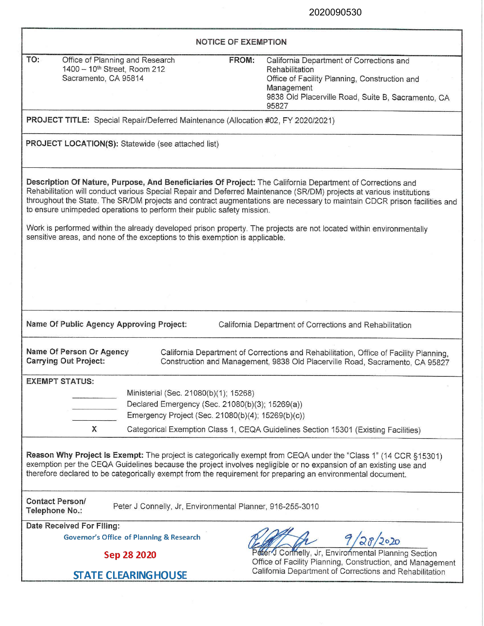| <b>NOTICE OF EXEMPTION</b>                                                                                                                                                                          |                                                                                                                                               |                                                                                                                                                                                                                                                                                                                                                                |  |  |  |
|-----------------------------------------------------------------------------------------------------------------------------------------------------------------------------------------------------|-----------------------------------------------------------------------------------------------------------------------------------------------|----------------------------------------------------------------------------------------------------------------------------------------------------------------------------------------------------------------------------------------------------------------------------------------------------------------------------------------------------------------|--|--|--|
| TO:<br>Office of Planning and Research<br>1400 - 10 <sup>th</sup> Street, Room 212<br>Sacramento, CA 95814                                                                                          |                                                                                                                                               | FROM:<br>California Department of Corrections and<br>Rehabilitation<br>Office of Facility Planning, Construction and<br>Management<br>9838 Old Placerville Road, Suite B, Sacramento, CA<br>95827                                                                                                                                                              |  |  |  |
| PROJECT TITLE: Special Repair/Deferred Maintenance (Allocation #02, FY 2020/2021)                                                                                                                   |                                                                                                                                               |                                                                                                                                                                                                                                                                                                                                                                |  |  |  |
| PROJECT LOCATION(S): Statewide (see attached list)                                                                                                                                                  |                                                                                                                                               |                                                                                                                                                                                                                                                                                                                                                                |  |  |  |
| to ensure unimpeded operations to perform their public safety mission.                                                                                                                              |                                                                                                                                               | Description Of Nature, Purpose, And Beneficiaries Of Project: The California Department of Corrections and<br>Rehabilitation will conduct various Special Repair and Deferred Maintenance (SR/DM) projects at various institutions<br>throughout the State. The SR/DM projects and contract augmentations are necessary to maintain CDCR prison facilities and |  |  |  |
| Work is performed within the already developed prison property. The projects are not located within environmentally<br>sensitive areas, and none of the exceptions to this exemption is applicable. |                                                                                                                                               |                                                                                                                                                                                                                                                                                                                                                                |  |  |  |
|                                                                                                                                                                                                     |                                                                                                                                               |                                                                                                                                                                                                                                                                                                                                                                |  |  |  |
|                                                                                                                                                                                                     |                                                                                                                                               |                                                                                                                                                                                                                                                                                                                                                                |  |  |  |
| Name Of Public Agency Approving Project:<br>California Department of Corrections and Rehabilitation                                                                                                 |                                                                                                                                               |                                                                                                                                                                                                                                                                                                                                                                |  |  |  |
| Name Of Person Or Agency<br><b>Carrying Out Project:</b>                                                                                                                                            |                                                                                                                                               | California Department of Corrections and Rehabilitation, Office of Facility Planning,<br>Construction and Management, 9838 Old Placerville Road, Sacramento, CA 95827                                                                                                                                                                                          |  |  |  |
| <b>EXEMPT STATUS:</b><br>X                                                                                                                                                                          | Ministerial (Sec. 21080(b)(1); 15268)<br>Declared Emergency (Sec. 21080(b)(3); 15269(a))<br>Emergency Project (Sec. 21080(b)(4); 15269(b)(c)) | Categorical Exemption Class 1, CEQA Guidelines Section 15301 (Existing Facilities)                                                                                                                                                                                                                                                                             |  |  |  |
|                                                                                                                                                                                                     |                                                                                                                                               | Reason Why Project is Exempt: The project is categorically exempt from CEQA under the "Class 1" (14 CCR §15301)<br>exemption per the CEQA Guidelines because the project involves negligible or no expansion of an existing use and<br>therefore declared to be categorically exempt from the requirement for preparing an environmental document.             |  |  |  |
| <b>Contact Person/</b><br>Telephone No.:                                                                                                                                                            | Peter J Connelly, Jr, Environmental Planner, 916-255-3010                                                                                     |                                                                                                                                                                                                                                                                                                                                                                |  |  |  |
| Date Received For Filing:                                                                                                                                                                           |                                                                                                                                               |                                                                                                                                                                                                                                                                                                                                                                |  |  |  |
| <b>Governor's Office of Planning &amp; Research</b><br>Sep 28 2020                                                                                                                                  |                                                                                                                                               | 28/2020<br>Pater J Connelly, Jr, Environmental Planning Section                                                                                                                                                                                                                                                                                                |  |  |  |
| <b>STATE CLEARING HOUSE</b>                                                                                                                                                                         |                                                                                                                                               | Office of Facility Planning, Construction, and Management<br>California Department of Corrections and Rehabilitation                                                                                                                                                                                                                                           |  |  |  |
|                                                                                                                                                                                                     |                                                                                                                                               |                                                                                                                                                                                                                                                                                                                                                                |  |  |  |

2020090530